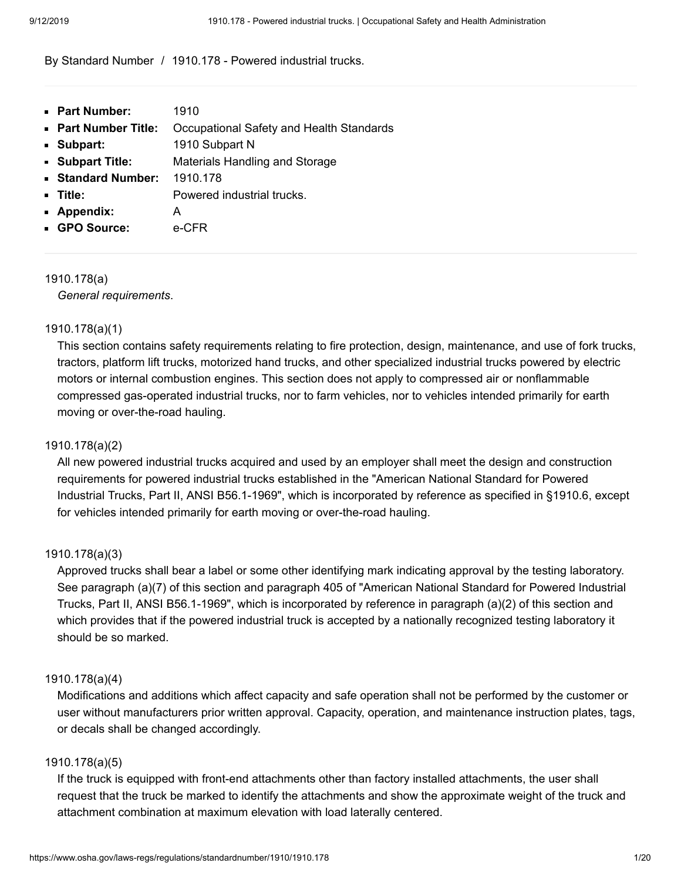[By Standard Number](https://www.osha.gov/laws-regs/regulations/standardnumber) / 1910.178 - Powered industrial trucks.

| • Part Number:          | 1910                                     |
|-------------------------|------------------------------------------|
| • Part Number Title:    | Occupational Safety and Health Standards |
| • Subpart:              | 1910 Subpart N                           |
| Subpart Title:          | <b>Materials Handling and Storage</b>    |
| <b>Standard Number:</b> | 1910.178                                 |
| - Title:                | Powered industrial trucks.               |
| • Appendix:             | A                                        |
| GPO Source:             | e-CFR                                    |
|                         |                                          |

#### [1910.178\(a\)](https://www.osha.gov/laws-regs/interlinking/standards/1910.178(a))

*General requirements*.

#### [1910.178\(a\)\(1\)](https://www.osha.gov/laws-regs/interlinking/standards/1910.178(a)(1))

This section contains safety requirements relating to fire protection, design, maintenance, and use of fork trucks, tractors, platform lift trucks, motorized hand trucks, and other specialized industrial trucks powered by electric motors or internal combustion engines. This section does not apply to compressed air or nonflammable compressed gas-operated industrial trucks, nor to farm vehicles, nor to vehicles intended primarily for earth moving or over-the-road hauling.

#### [1910.178\(a\)\(2\)](https://www.osha.gov/laws-regs/interlinking/standards/1910.178(a)(2))

All new powered industrial trucks acquired and used by an employer shall meet the design and construction requirements for powered industrial trucks established in the "American National Standard for Powered Industrial Trucks, Part II, ANSI B56.1-1969", which is incorporated by reference as specified in §1910.6, except for vehicles intended primarily for earth moving or over-the-road hauling.

#### 1910.178(a)(3)

Approved trucks shall bear a label or some other identifying mark indicating approval by the testing laboratory. See paragraph (a)(7) of this section and paragraph 405 of "American National Standard for Powered Industrial Trucks, Part II, ANSI B56.1-1969", which is incorporated by reference in paragraph (a)(2) of this section and which provides that if the powered industrial truck is accepted by a nationally recognized testing laboratory it should be so marked.

#### [1910.178\(a\)\(4\)](https://www.osha.gov/laws-regs/interlinking/standards/1910.178(a)(4))

Modifications and additions which affect capacity and safe operation shall not be performed by the customer or user without manufacturers prior written approval. Capacity, operation, and maintenance instruction plates, tags, or decals shall be changed accordingly.

#### [1910.178\(a\)\(5\)](https://www.osha.gov/laws-regs/interlinking/standards/1910.178(a)(5))

If the truck is equipped with front-end attachments other than factory installed attachments, the user shall request that the truck be marked to identify the attachments and show the approximate weight of the truck and attachment combination at maximum elevation with load laterally centered.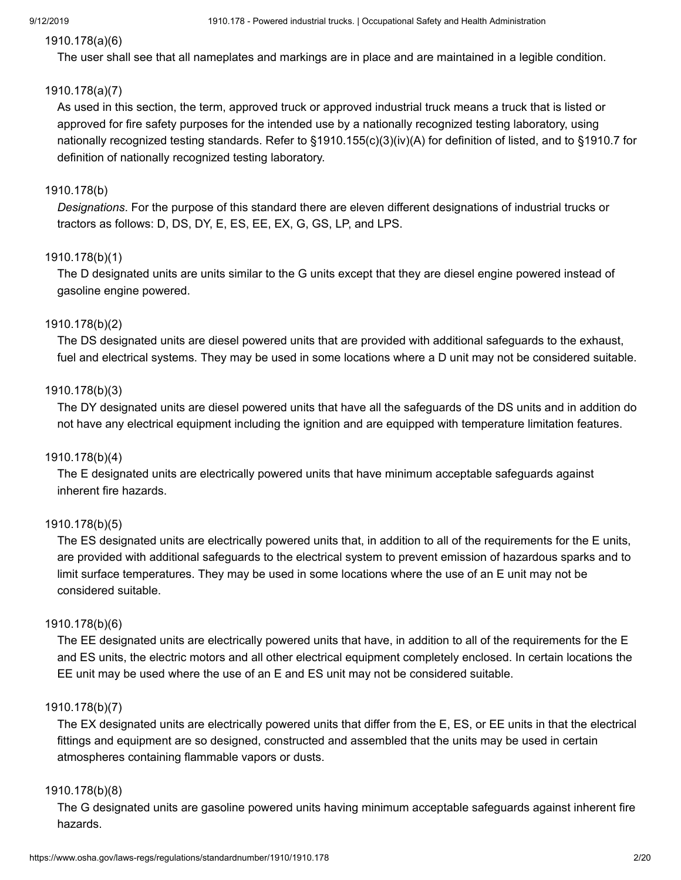## 1910.178(a)(6)

The user shall see that all nameplates and markings are in place and are maintained in a legible condition.

## 1910.178(a)(7)

As used in this section, the term, approved truck or approved industrial truck means a truck that is listed or approved for fire safety purposes for the intended use by a nationally recognized testing laboratory, using nationally recognized testing standards. Refer to §1910.155(c)(3)(iv)(A) for definition of listed, and to §1910.7 for definition of nationally recognized testing laboratory.

## 1910.178(b)

*Designations*. For the purpose of this standard there are eleven different designations of industrial trucks or tractors as follows: D, DS, DY, E, ES, EE, EX, G, GS, LP, and LPS.

## 1910.178(b)(1)

The D designated units are units similar to the G units except that they are diesel engine powered instead of gasoline engine powered.

## 1910.178(b)(2)

The DS designated units are diesel powered units that are provided with additional safeguards to the exhaust, fuel and electrical systems. They may be used in some locations where a D unit may not be considered suitable.

## 1910.178(b)(3)

The DY designated units are diesel powered units that have all the safeguards of the DS units and in addition do not have any electrical equipment including the ignition and are equipped with temperature limitation features.

#### 1910.178(b)(4)

The E designated units are electrically powered units that have minimum acceptable safeguards against inherent fire hazards.

#### 1910.178(b)(5)

The ES designated units are electrically powered units that, in addition to all of the requirements for the E units, are provided with additional safeguards to the electrical system to prevent emission of hazardous sparks and to limit surface temperatures. They may be used in some locations where the use of an E unit may not be considered suitable.

#### 1910.178(b)(6)

The EE designated units are electrically powered units that have, in addition to all of the requirements for the E and ES units, the electric motors and all other electrical equipment completely enclosed. In certain locations the EE unit may be used where the use of an E and ES unit may not be considered suitable.

#### 1910.178(b)(7)

The EX designated units are electrically powered units that differ from the E, ES, or EE units in that the electrical fittings and equipment are so designed, constructed and assembled that the units may be used in certain atmospheres containing flammable vapors or dusts.

#### 1910.178(b)(8)

The G designated units are gasoline powered units having minimum acceptable safeguards against inherent fire hazards.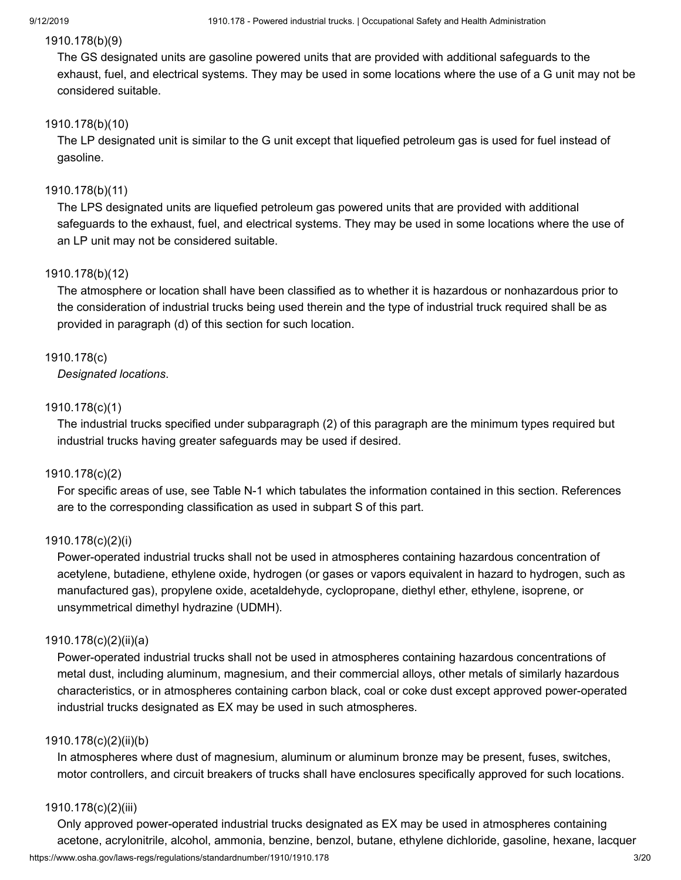# 1910.178(b)(9)

The GS designated units are gasoline powered units that are provided with additional safeguards to the exhaust, fuel, and electrical systems. They may be used in some locations where the use of a G unit may not be considered suitable.

# 1910.178(b)(10)

The LP designated unit is similar to the G unit except that liquefied petroleum gas is used for fuel instead of gasoline.

# 1910.178(b)(11)

The LPS designated units are liquefied petroleum gas powered units that are provided with additional safeguards to the exhaust, fuel, and electrical systems. They may be used in some locations where the use of an LP unit may not be considered suitable.

# 1910.178(b)(12)

The atmosphere or location shall have been classified as to whether it is hazardous or nonhazardous prior to the consideration of industrial trucks being used therein and the type of industrial truck required shall be as provided in paragraph (d) of this section for such location.

# 1910.178(c)

*Designated locations*.

# 1910.178(c)(1)

The industrial trucks specified under subparagraph (2) of this paragraph are the minimum types required but industrial trucks having greater safeguards may be used if desired.

# [1910.178\(c\)\(2\)](https://www.osha.gov/laws-regs/interlinking/standards/1910.178(c)(2))

For specific areas of use, see Table N-1 which tabulates the information contained in this section. References are to the corresponding classification as used in subpart S of this part.

# 1910.178(c)(2)(i)

Power-operated industrial trucks shall not be used in atmospheres containing hazardous concentration of acetylene, butadiene, ethylene oxide, hydrogen (or gases or vapors equivalent in hazard to hydrogen, such as manufactured gas), propylene oxide, acetaldehyde, cyclopropane, diethyl ether, ethylene, isoprene, or unsymmetrical dimethyl hydrazine (UDMH).

# [1910.178\(c\)\(2\)\(ii\)\(a\)](https://www.osha.gov/laws-regs/interlinking/standards/1910.178(c)(2)(ii)(a))

Power-operated industrial trucks shall not be used in atmospheres containing hazardous concentrations of metal dust, including aluminum, magnesium, and their commercial alloys, other metals of similarly hazardous characteristics, or in atmospheres containing carbon black, coal or coke dust except approved power-operated industrial trucks designated as EX may be used in such atmospheres.

# 1910.178(c)(2)(ii)(b)

In atmospheres where dust of magnesium, aluminum or aluminum bronze may be present, fuses, switches, motor controllers, and circuit breakers of trucks shall have enclosures specifically approved for such locations.

# [1910.178\(c\)\(2\)\(iii\)](https://www.osha.gov/laws-regs/interlinking/standards/1910.178(c)(2)(iii))

https://www.osha.gov/laws-regs/regulations/standardnumber/1910/1910.178 3/20 Only approved power-operated industrial trucks designated as EX may be used in atmospheres containing acetone, acrylonitrile, alcohol, ammonia, benzine, benzol, butane, ethylene dichloride, gasoline, hexane, lacquer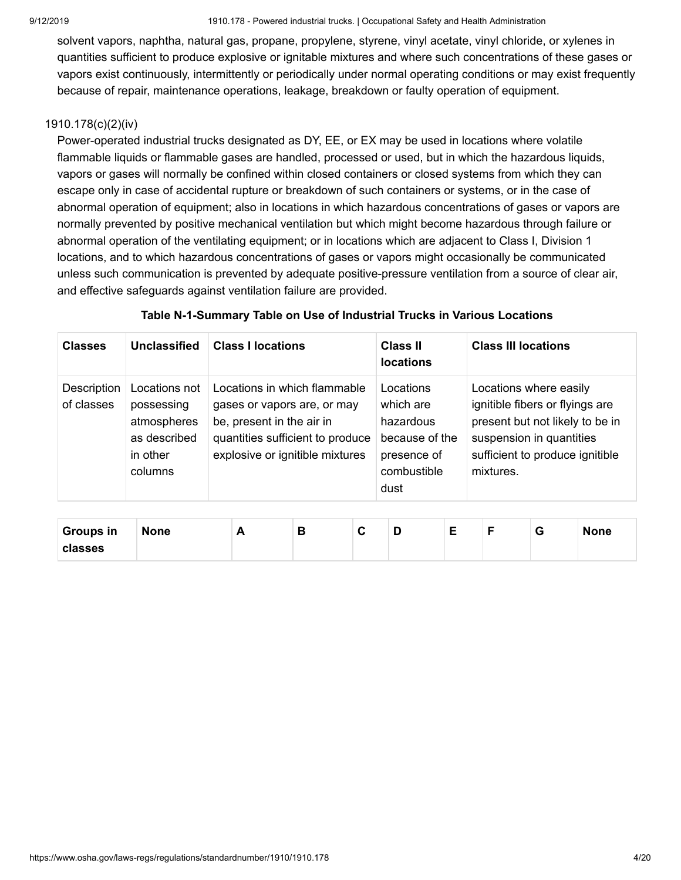solvent vapors, naphtha, natural gas, propane, propylene, styrene, vinyl acetate, vinyl chloride, or xylenes in quantities sufficient to produce explosive or ignitable mixtures and where such concentrations of these gases or vapors exist continuously, intermittently or periodically under normal operating conditions or may exist frequently because of repair, maintenance operations, leakage, breakdown or faulty operation of equipment.

## [1910.178\(c\)\(2\)\(iv\)](https://www.osha.gov/laws-regs/interlinking/standards/1910.178(c)(2)(iv))

Power-operated industrial trucks designated as DY, EE, or EX may be used in locations where volatile flammable liquids or flammable gases are handled, processed or used, but in which the hazardous liquids, vapors or gases will normally be confined within closed containers or closed systems from which they can escape only in case of accidental rupture or breakdown of such containers or systems, or in the case of abnormal operation of equipment; also in locations in which hazardous concentrations of gases or vapors are normally prevented by positive mechanical ventilation but which might become hazardous through failure or abnormal operation of the ventilating equipment; or in locations which are adjacent to Class I, Division 1 locations, and to which hazardous concentrations of gases or vapors might occasionally be communicated unless such communication is prevented by adequate positive-pressure ventilation from a source of clear air, and effective safeguards against ventilation failure are provided.

| Table N-1-Summary Table on Use of Industrial Trucks in Various Locations |  |  |
|--------------------------------------------------------------------------|--|--|
|--------------------------------------------------------------------------|--|--|

| <b>Classes</b>            | <b>Unclassified</b>                                                               | <b>Class I locations</b>                                                                                                                                        | <b>Class II</b><br><b>locations</b>                                                         | <b>Class III locations</b>                                                                                                                                               |
|---------------------------|-----------------------------------------------------------------------------------|-----------------------------------------------------------------------------------------------------------------------------------------------------------------|---------------------------------------------------------------------------------------------|--------------------------------------------------------------------------------------------------------------------------------------------------------------------------|
| Description<br>of classes | Locations not<br>possessing<br>atmospheres<br>as described<br>in other<br>columns | Locations in which flammable<br>gases or vapors are, or may<br>be, present in the air in<br>quantities sufficient to produce<br>explosive or ignitible mixtures | Locations<br>which are<br>hazardous<br>because of the<br>presence of<br>combustible<br>dust | Locations where easily<br>ignitible fibers or flyings are<br>present but not likely to be in<br>suspension in quantities<br>sufficient to produce ignitible<br>mixtures. |

| <b>Groups in</b> | <b>None</b> | Ā | - | ╺ | - | v | <b>None</b> |
|------------------|-------------|---|---|---|---|---|-------------|
| <b>classes</b>   |             |   |   |   |   |   |             |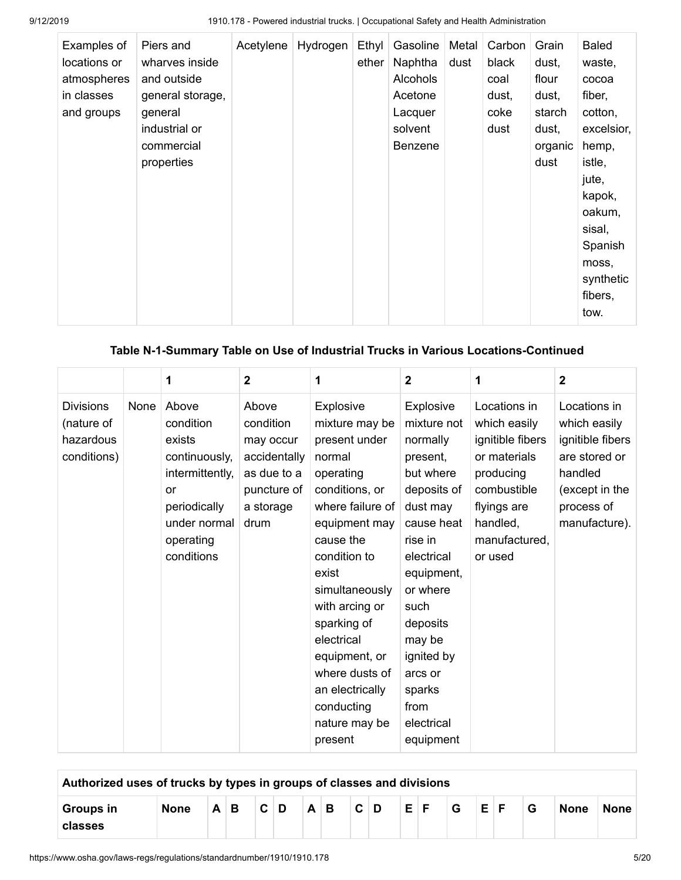9/12/2019 1910.178 - Powered industrial trucks. | Occupational Safety and Health Administration

| Examples of<br>locations or<br>atmospheres<br>in classes<br>and groups | Piers and<br>wharves inside<br>and outside<br>general storage,<br>general<br>industrial or<br>commercial<br>properties | Acetylene | Hydrogen | Ethyl<br>ether | Gasoline<br>Naphtha<br>Alcohols<br>Acetone<br>Lacquer<br>solvent<br><b>Benzene</b> | Metal<br>dust | Carbon<br>black<br>coal<br>dust,<br>coke<br>dust | Grain<br>dust,<br>flour<br>dust,<br>starch<br>dust,<br>organic<br>dust | <b>Baled</b><br>waste,<br>cocoa<br>fiber,<br>cotton,<br>excelsior,<br>hemp,<br>istle,<br>jute,<br>kapok,<br>oakum,<br>sisal,<br>Spanish<br>moss,<br>synthetic |
|------------------------------------------------------------------------|------------------------------------------------------------------------------------------------------------------------|-----------|----------|----------------|------------------------------------------------------------------------------------|---------------|--------------------------------------------------|------------------------------------------------------------------------|---------------------------------------------------------------------------------------------------------------------------------------------------------------|
|                                                                        |                                                                                                                        |           |          |                |                                                                                    |               |                                                  |                                                                        | fibers,<br>tow.                                                                                                                                               |

# **Table N-1-Summary Table on Use of Industrial Trucks in Various Locations-Continued**

|                                                            |      | 1                                                                                                                                 | $\overline{2}$                                                                                     | 1                                                                                                                                                                                                                                                                                                                                 | $\mathbf{2}$                                                                                                                                                                                                                                                  | 1                                                                                                                                                   | $\overline{2}$                                                                                                                |
|------------------------------------------------------------|------|-----------------------------------------------------------------------------------------------------------------------------------|----------------------------------------------------------------------------------------------------|-----------------------------------------------------------------------------------------------------------------------------------------------------------------------------------------------------------------------------------------------------------------------------------------------------------------------------------|---------------------------------------------------------------------------------------------------------------------------------------------------------------------------------------------------------------------------------------------------------------|-----------------------------------------------------------------------------------------------------------------------------------------------------|-------------------------------------------------------------------------------------------------------------------------------|
| <b>Divisions</b><br>(nature of<br>hazardous<br>conditions) | None | Above<br>condition<br>exists<br>continuously,<br>intermittently,<br>or<br>periodically<br>under normal<br>operating<br>conditions | Above<br>condition<br>may occur<br>accidentally<br>as due to a<br>puncture of<br>a storage<br>drum | Explosive<br>mixture may be<br>present under<br>normal<br>operating<br>conditions, or<br>where failure of<br>equipment may<br>cause the<br>condition to<br>exist<br>simultaneously<br>with arcing or<br>sparking of<br>electrical<br>equipment, or<br>where dusts of<br>an electrically<br>conducting<br>nature may be<br>present | Explosive<br>mixture not<br>normally<br>present,<br>but where<br>deposits of<br>dust may<br>cause heat<br>rise in<br>electrical<br>equipment,<br>or where<br>such<br>deposits<br>may be<br>ignited by<br>arcs or<br>sparks<br>from<br>electrical<br>equipment | Locations in<br>which easily<br>ignitible fibers<br>or materials<br>producing<br>combustible<br>flyings are<br>handled,<br>manufactured,<br>or used | Locations in<br>which easily<br>ignitible fibers<br>are stored or<br>handled<br>(except in the<br>process of<br>manufacture). |

| Authorized uses of trucks by types in groups of classes and divisions |             |            |  |         |  |  |                 |  |  |  |         |                |         |  |   |             |             |
|-----------------------------------------------------------------------|-------------|------------|--|---------|--|--|-----------------|--|--|--|---------|----------------|---------|--|---|-------------|-------------|
| <b>Groups in</b><br><b>classes</b>                                    | <b>None</b> | $A \mid B$ |  | $ C $ D |  |  | $A$ $B$ $C$ $D$ |  |  |  | $E$ $F$ | $\overline{G}$ | $E$ $F$ |  | G | <b>None</b> | <b>None</b> |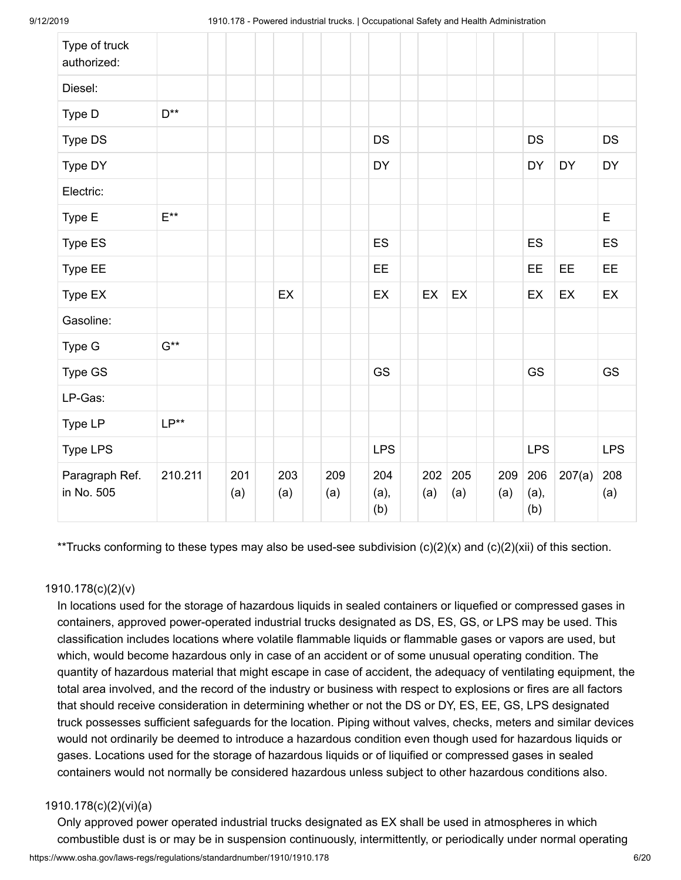| Type of truck<br>authorized: |                  |            |            |            |                    |            |            |            |                    |        |            |
|------------------------------|------------------|------------|------------|------------|--------------------|------------|------------|------------|--------------------|--------|------------|
| Diesel:                      |                  |            |            |            |                    |            |            |            |                    |        |            |
| Type D                       | $D^{**}$         |            |            |            |                    |            |            |            |                    |        |            |
| Type DS                      |                  |            |            |            | <b>DS</b>          |            |            |            | <b>DS</b>          |        | <b>DS</b>  |
| Type DY                      |                  |            |            |            | DY                 |            |            |            | <b>DY</b>          | DY     | DY         |
| Electric:                    |                  |            |            |            |                    |            |            |            |                    |        |            |
| Type E                       | $E^{**}$         |            |            |            |                    |            |            |            |                    |        | E          |
| Type ES                      |                  |            |            |            | ES                 |            |            |            | <b>ES</b>          |        | ES         |
| Type EE                      |                  |            |            |            | EE                 |            |            |            | EE                 | EE     | EE         |
| Type EX                      |                  |            | EX         |            | EX                 | EX         | EX         |            | EX                 | EX     | EX         |
| Gasoline:                    |                  |            |            |            |                    |            |            |            |                    |        |            |
| Type G                       | $G^{\star\star}$ |            |            |            |                    |            |            |            |                    |        |            |
| Type GS                      |                  |            |            |            | GS                 |            |            |            | GS                 |        | GS         |
| LP-Gas:                      |                  |            |            |            |                    |            |            |            |                    |        |            |
| Type LP                      | $LP**$           |            |            |            |                    |            |            |            |                    |        |            |
| Type LPS                     |                  |            |            |            | <b>LPS</b>         |            |            |            | <b>LPS</b>         |        | <b>LPS</b> |
| Paragraph Ref.<br>in No. 505 | 210.211          | 201<br>(a) | 203<br>(a) | 209<br>(a) | 204<br>(a),<br>(b) | 202<br>(a) | 205<br>(a) | 209<br>(a) | 206<br>(a),<br>(b) | 207(a) | 208<br>(a) |

\*\*Trucks conforming to these types may also be used-see subdivision  $(c)(2)(x)$  and  $(c)(2)(xii)$  of this section.

# 1910.178(c)(2)(v)

In locations used for the storage of hazardous liquids in sealed containers or liquefied or compressed gases in containers, approved power-operated industrial trucks designated as DS, ES, GS, or LPS may be used. This classification includes locations where volatile flammable liquids or flammable gases or vapors are used, but which, would become hazardous only in case of an accident or of some unusual operating condition. The quantity of hazardous material that might escape in case of accident, the adequacy of ventilating equipment, the total area involved, and the record of the industry or business with respect to explosions or fires are all factors that should receive consideration in determining whether or not the DS or DY, ES, EE, GS, LPS designated truck possesses sufficient safeguards for the location. Piping without valves, checks, meters and similar devices would not ordinarily be deemed to introduce a hazardous condition even though used for hazardous liquids or gases. Locations used for the storage of hazardous liquids or of liquified or compressed gases in sealed containers would not normally be considered hazardous unless subject to other hazardous conditions also.

# 1910.178(c)(2)(vi)(a)

Only approved power operated industrial trucks designated as EX shall be used in atmospheres in which combustible dust is or may be in suspension continuously, intermittently, or periodically under normal operating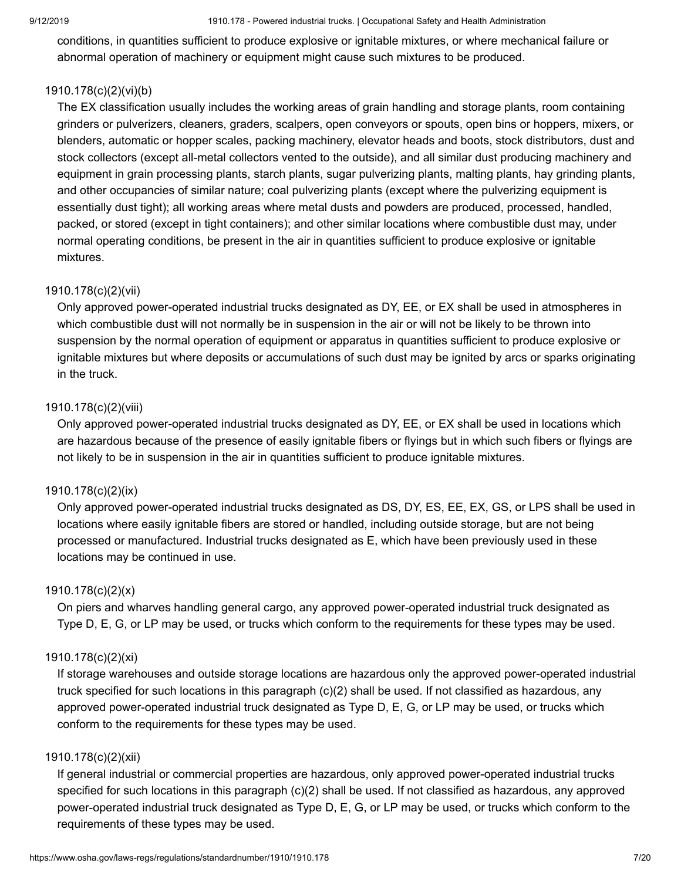conditions, in quantities sufficient to produce explosive or ignitable mixtures, or where mechanical failure or abnormal operation of machinery or equipment might cause such mixtures to be produced.

## 1910.178(c)(2)(vi)(b)

The EX classification usually includes the working areas of grain handling and storage plants, room containing grinders or pulverizers, cleaners, graders, scalpers, open conveyors or spouts, open bins or hoppers, mixers, or blenders, automatic or hopper scales, packing machinery, elevator heads and boots, stock distributors, dust and stock collectors (except all-metal collectors vented to the outside), and all similar dust producing machinery and equipment in grain processing plants, starch plants, sugar pulverizing plants, malting plants, hay grinding plants, and other occupancies of similar nature; coal pulverizing plants (except where the pulverizing equipment is essentially dust tight); all working areas where metal dusts and powders are produced, processed, handled, packed, or stored (except in tight containers); and other similar locations where combustible dust may, under normal operating conditions, be present in the air in quantities sufficient to produce explosive or ignitable mixtures.

## 1910.178(c)(2)(vii)

Only approved power-operated industrial trucks designated as DY, EE, or EX shall be used in atmospheres in which combustible dust will not normally be in suspension in the air or will not be likely to be thrown into suspension by the normal operation of equipment or apparatus in quantities sufficient to produce explosive or ignitable mixtures but where deposits or accumulations of such dust may be ignited by arcs or sparks originating in the truck.

## 1910.178(c)(2)(viii)

Only approved power-operated industrial trucks designated as DY, EE, or EX shall be used in locations which are hazardous because of the presence of easily ignitable fibers or flyings but in which such fibers or flyings are not likely to be in suspension in the air in quantities sufficient to produce ignitable mixtures.

# 1910.178(c)(2)(ix)

Only approved power-operated industrial trucks designated as DS, DY, ES, EE, EX, GS, or LPS shall be used in locations where easily ignitable fibers are stored or handled, including outside storage, but are not being processed or manufactured. Industrial trucks designated as E, which have been previously used in these locations may be continued in use.

# 1910.178(c)(2)(x)

On piers and wharves handling general cargo, any approved power-operated industrial truck designated as Type D, E, G, or LP may be used, or trucks which conform to the requirements for these types may be used.

# 1910.178(c)(2)(xi)

If storage warehouses and outside storage locations are hazardous only the approved power-operated industrial truck specified for such locations in this paragraph (c)(2) shall be used. If not classified as hazardous, any approved power-operated industrial truck designated as Type D, E, G, or LP may be used, or trucks which conform to the requirements for these types may be used.

# 1910.178(c)(2)(xii)

If general industrial or commercial properties are hazardous, only approved power-operated industrial trucks specified for such locations in this paragraph (c)(2) shall be used. If not classified as hazardous, any approved power-operated industrial truck designated as Type D, E, G, or LP may be used, or trucks which conform to the requirements of these types may be used.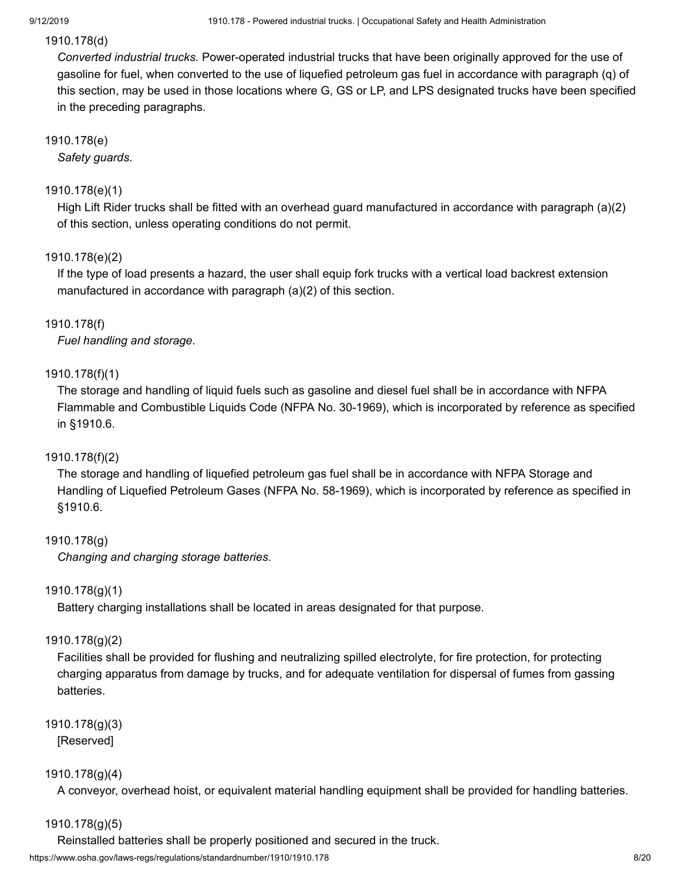## [1910.178\(d\)](https://www.osha.gov/laws-regs/interlinking/standards/1910.178(d))

*Converted industrial trucks*. Power-operated industrial trucks that have been originally approved for the use of gasoline for fuel, when converted to the use of liquefied petroleum gas fuel in accordance with paragraph (q) of this section, may be used in those locations where G, GS or LP, and LPS designated trucks have been specified in the preceding paragraphs.

## 1910.178(e)

*Safety guards*.

# [1910.178\(e\)\(1\)](https://www.osha.gov/laws-regs/interlinking/standards/1910.178(e)(1))

High Lift Rider trucks shall be fitted with an overhead guard manufactured in accordance with paragraph (a)(2) of this section, unless operating conditions do not permit.

# 1910.178(e)(2)

If the type of load presents a hazard, the user shall equip fork trucks with a vertical load backrest extension manufactured in accordance with paragraph (a)(2) of this section.

# 1910.178(f)

*Fuel handling and storage*.

# 1910.178(f)(1)

The storage and handling of liquid fuels such as gasoline and diesel fuel shall be in accordance with NFPA Flammable and Combustible Liquids Code (NFPA No. 30-1969), which is incorporated by reference as specified in §1910.6.

# [1910.178\(f\)\(2\)](https://www.osha.gov/laws-regs/interlinking/standards/1910.178(f)(2))

The storage and handling of liquefied petroleum gas fuel shall be in accordance with NFPA Storage and Handling of Liquefied Petroleum Gases (NFPA No. 58-1969), which is incorporated by reference as specified in §1910.6.

# 1910.178(g)

*Changing and charging storage batteries*.

# 1910.178(g)(1)

Battery charging installations shall be located in areas designated for that purpose.

# [1910.178\(g\)\(2\)](https://www.osha.gov/laws-regs/interlinking/standards/1910.178(g)(2))

Facilities shall be provided for flushing and neutralizing spilled electrolyte, for fire protection, for protecting charging apparatus from damage by trucks, and for adequate ventilation for dispersal of fumes from gassing batteries.

## 1910.178(g)(3) [Reserved]

# 1910.178(g)(4)

A conveyor, overhead hoist, or equivalent material handling equipment shall be provided for handling batteries.

# [1910.178\(g\)\(5\)](https://www.osha.gov/laws-regs/interlinking/standards/1910.178(g)(5))

Reinstalled batteries shall be properly positioned and secured in the truck.

https://www.osha.gov/laws-regs/regulations/standardnumber/1910/1910.178 8/20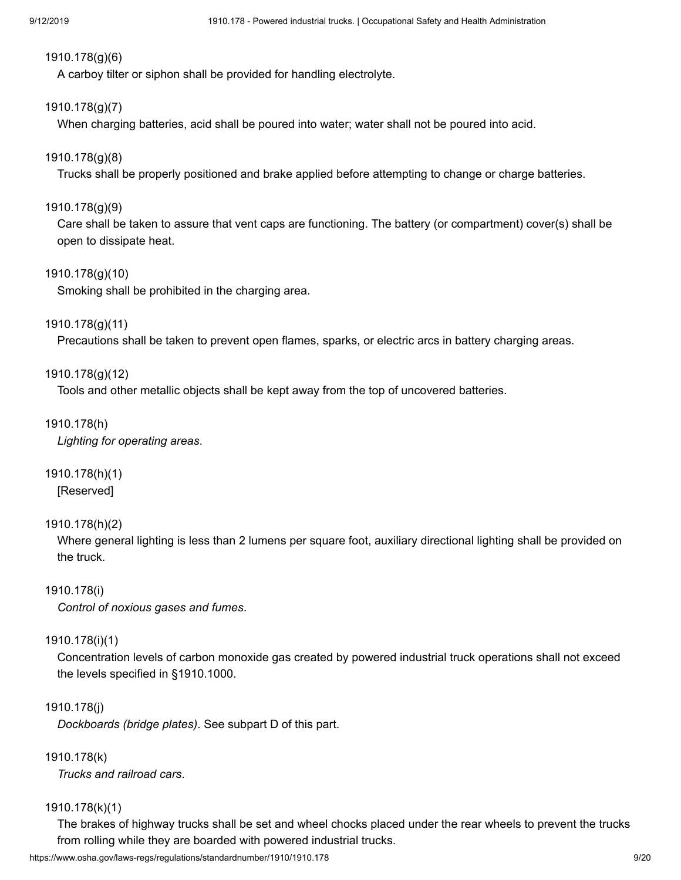#### 1910.178(g)(6)

A carboy tilter or siphon shall be provided for handling electrolyte.

#### 1910.178(g)(7)

When charging batteries, acid shall be poured into water; water shall not be poured into acid.

#### 1910.178(g)(8)

Trucks shall be properly positioned and brake applied before attempting to change or charge batteries.

#### 1910.178(g)(9)

Care shall be taken to assure that vent caps are functioning. The battery (or compartment) cover(s) shall be open to dissipate heat.

## [1910.178\(g\)\(10\)](https://www.osha.gov/laws-regs/interlinking/standards/1910.178(g)(10))

Smoking shall be prohibited in the charging area.

#### 1910.178(g)(11)

Precautions shall be taken to prevent open flames, sparks, or electric arcs in battery charging areas.

#### 1910.178(g)(12)

Tools and other metallic objects shall be kept away from the top of uncovered batteries.

#### 1910.178(h)

*Lighting for operating areas*.

#### 1910.178(h)(1)

[Reserved]

#### 1910.178(h)(2)

Where general lighting is less than 2 lumens per square foot, auxiliary directional lighting shall be provided on the truck.

#### 1910.178(i)

*Control of noxious gases and fumes*.

# 1910.178(i)(1)

Concentration levels of carbon monoxide gas created by powered industrial truck operations shall not exceed the levels specified in §1910.1000.

#### 1910.178(j)

*Dockboards (bridge plates)*. See subpart D of this part.

1910.178(k)

*Trucks and railroad cars*.

## [1910.178\(k\)\(1\)](https://www.osha.gov/laws-regs/interlinking/standards/1910.178(k)(1))

The brakes of highway trucks shall be set and wheel chocks placed under the rear wheels to prevent the trucks from rolling while they are boarded with powered industrial trucks.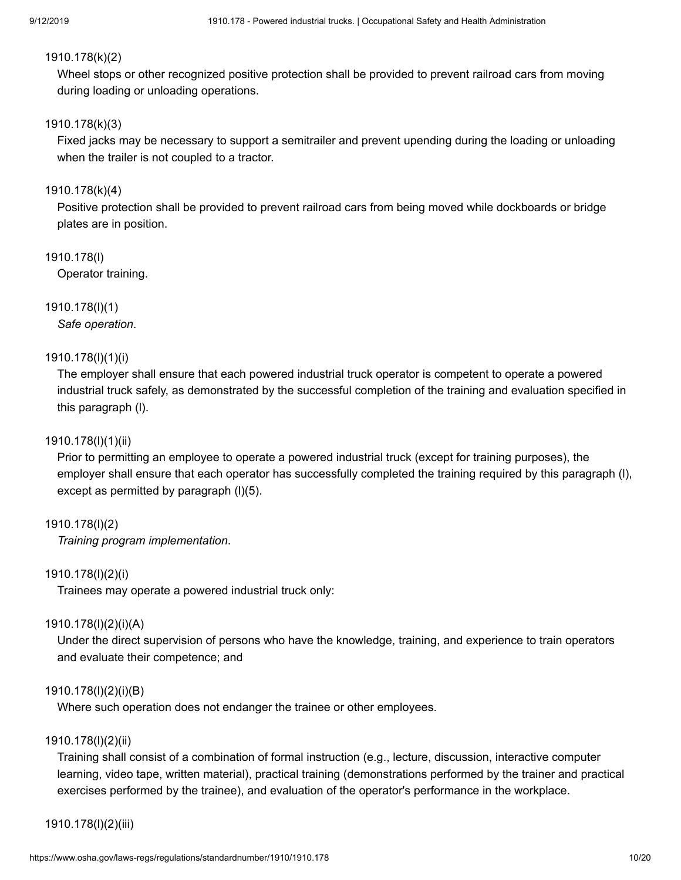#### 1910.178(k)(2)

Wheel stops or other recognized positive protection shall be provided to prevent railroad cars from moving during loading or unloading operations.

#### [1910.178\(k\)\(3\)](https://www.osha.gov/laws-regs/interlinking/standards/1910.178(k)(3))

Fixed jacks may be necessary to support a semitrailer and prevent upending during the loading or unloading when the trailer is not coupled to a tractor.

#### 1910.178(k)(4)

Positive protection shall be provided to prevent railroad cars from being moved while dockboards or bridge plates are in position.

[1910.178\(l\)](https://www.osha.gov/laws-regs/interlinking/standards/1910.178(l)) Operator training.

[1910.178\(l\)\(1\)](https://www.osha.gov/laws-regs/interlinking/standards/1910.178(l)(1))

*Safe operation*.

#### [1910.178\(l\)\(1\)\(i\)](https://www.osha.gov/laws-regs/interlinking/standards/1910.178(l)(1)(i))

The employer shall ensure that each powered industrial truck operator is competent to operate a powered industrial truck safely, as demonstrated by the successful completion of the training and evaluation specified in this paragraph (l).

#### 1910.178(l)(1)(ii)

Prior to permitting an employee to operate a powered industrial truck (except for training purposes), the employer shall ensure that each operator has successfully completed the training required by this paragraph (l), except as permitted by paragraph (l)(5).

#### 1910.178(l)(2)

*Training program implementation*.

#### 1910.178(l)(2)(i)

Trainees may operate a powered industrial truck only:

#### 1910.178(l)(2)(i)(A)

Under the direct supervision of persons who have the knowledge, training, and experience to train operators and evaluate their competence; and

#### 1910.178(l)(2)(i)(B)

Where such operation does not endanger the trainee or other employees.

#### [1910.178\(l\)\(2\)\(ii\)](https://www.osha.gov/laws-regs/interlinking/standards/1910.178(l)(2)(ii))

Training shall consist of a combination of formal instruction (e.g., lecture, discussion, interactive computer learning, video tape, written material), practical training (demonstrations performed by the trainer and practical exercises performed by the trainee), and evaluation of the operator's performance in the workplace.

[1910.178\(l\)\(2\)\(iii\)](https://www.osha.gov/laws-regs/interlinking/standards/1910.178(l)(2)(iii))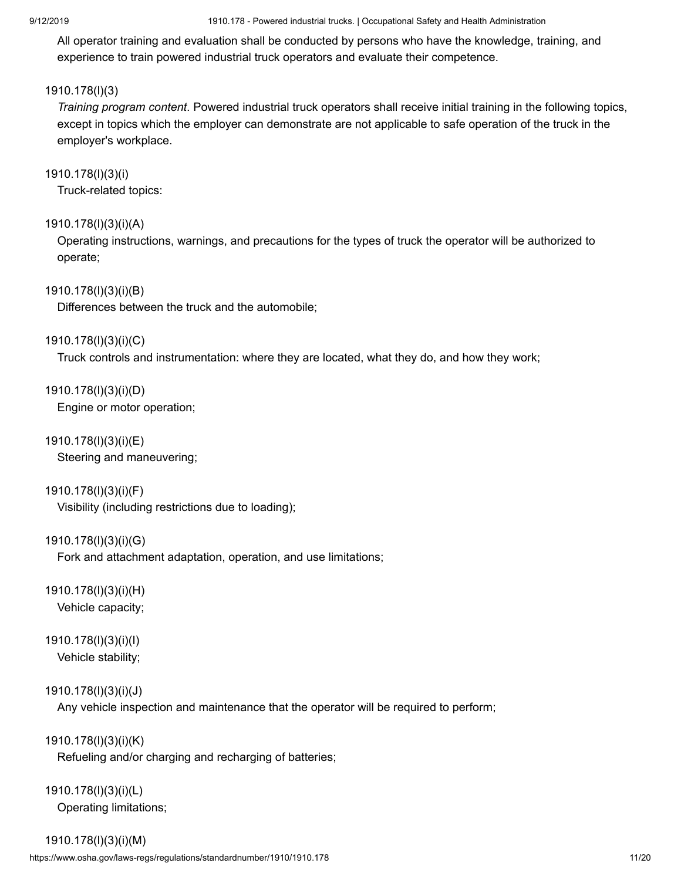All operator training and evaluation shall be conducted by persons who have the knowledge, training, and experience to train powered industrial truck operators and evaluate their competence.

## [1910.178\(l\)\(3\)](https://www.osha.gov/laws-regs/interlinking/standards/1910.178(l)(3))

*Training program content*. Powered industrial truck operators shall receive initial training in the following topics, except in topics which the employer can demonstrate are not applicable to safe operation of the truck in the employer's workplace.

[1910.178\(l\)\(3\)\(i\)](https://www.osha.gov/laws-regs/interlinking/standards/1910.178(l)(3)(i))

Truck-related topics:

1910.178(l)(3)(i)(A)

Operating instructions, warnings, and precautions for the types of truck the operator will be authorized to operate;

1910.178(l)(3)(i)(B)

Differences between the truck and the automobile;

1910.178(l)(3)(i)(C) Truck controls and instrumentation: where they are located, what they do, and how they work;

1910.178(l)(3)(i)(D) Engine or motor operation;

1910.178(l)(3)(i)(E) Steering and maneuvering;

1910.178(l)(3)(i)(F) Visibility (including restrictions due to loading);

1910.178(l)(3)(i)(G) Fork and attachment adaptation, operation, and use limitations;

1910.178(l)(3)(i)(H) Vehicle capacity;

1910.178(l)(3)(i)(I) Vehicle stability;

1910.178(l)(3)(i)(J) Any vehicle inspection and maintenance that the operator will be required to perform;

1910.178(l)(3)(i)(K) Refueling and/or charging and recharging of batteries;

1910.178(l)(3)(i)(L) Operating limitations;

https://www.osha.gov/laws-regs/regulations/standardnumber/1910/1910.178 11/20 [1910.178\(l\)\(3\)\(i\)\(M\)](https://www.osha.gov/laws-regs/interlinking/standards/1910.178(l)(3)(i)(M))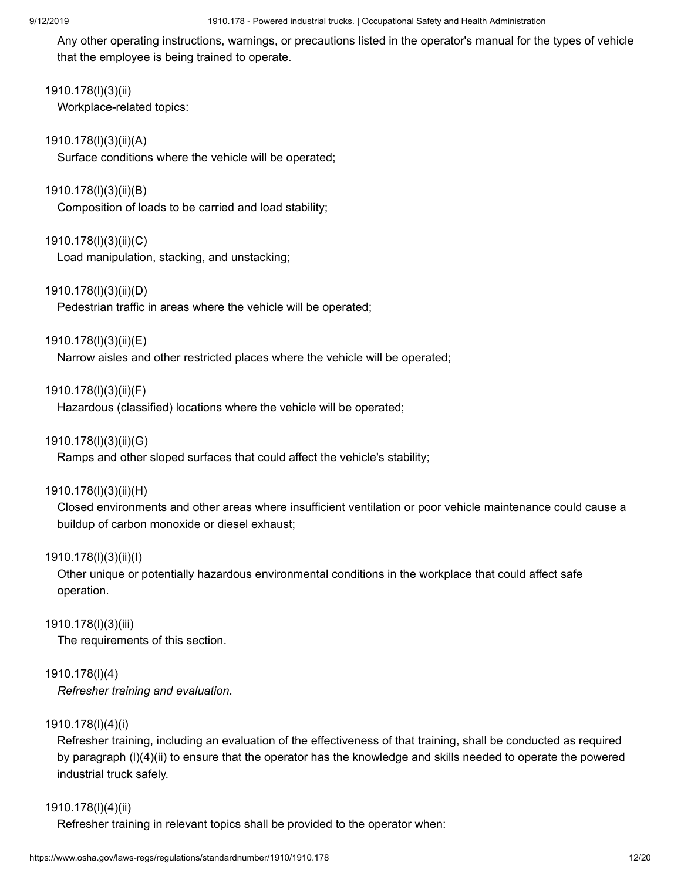Any other operating instructions, warnings, or precautions listed in the operator's manual for the types of vehicle that the employee is being trained to operate.

[1910.178\(l\)\(3\)\(ii\)](https://www.osha.gov/laws-regs/interlinking/standards/1910.178(l)(3)(ii)) Workplace-related topics:

1910.178(l)(3)(ii)(A) Surface conditions where the vehicle will be operated;

# 1910.178(l)(3)(ii)(B)

Composition of loads to be carried and load stability;

1910.178(l)(3)(ii)(C) Load manipulation, stacking, and unstacking;

1910.178(l)(3)(ii)(D) Pedestrian traffic in areas where the vehicle will be operated;

1910.178(l)(3)(ii)(E) Narrow aisles and other restricted places where the vehicle will be operated;

1910.178(l)(3)(ii)(F)

Hazardous (classified) locations where the vehicle will be operated;

1910.178(l)(3)(ii)(G)

Ramps and other sloped surfaces that could affect the vehicle's stability;

1910.178(l)(3)(ii)(H)

Closed environments and other areas where insufficient ventilation or poor vehicle maintenance could cause a buildup of carbon monoxide or diesel exhaust;

1910.178(l)(3)(ii)(I)

Other unique or potentially hazardous environmental conditions in the workplace that could affect safe operation.

1910.178(l)(3)(iii)

The requirements of this section.

# [1910.178\(l\)\(4\)](https://www.osha.gov/laws-regs/interlinking/standards/1910.178(l)(4))

*Refresher training and evaluation*.

#### 1910.178(l)(4)(i)

Refresher training, including an evaluation of the effectiveness of that training, shall be conducted as required by paragraph (l)(4)(ii) to ensure that the operator has the knowledge and skills needed to operate the powered industrial truck safely.

1910.178(l)(4)(ii)

Refresher training in relevant topics shall be provided to the operator when: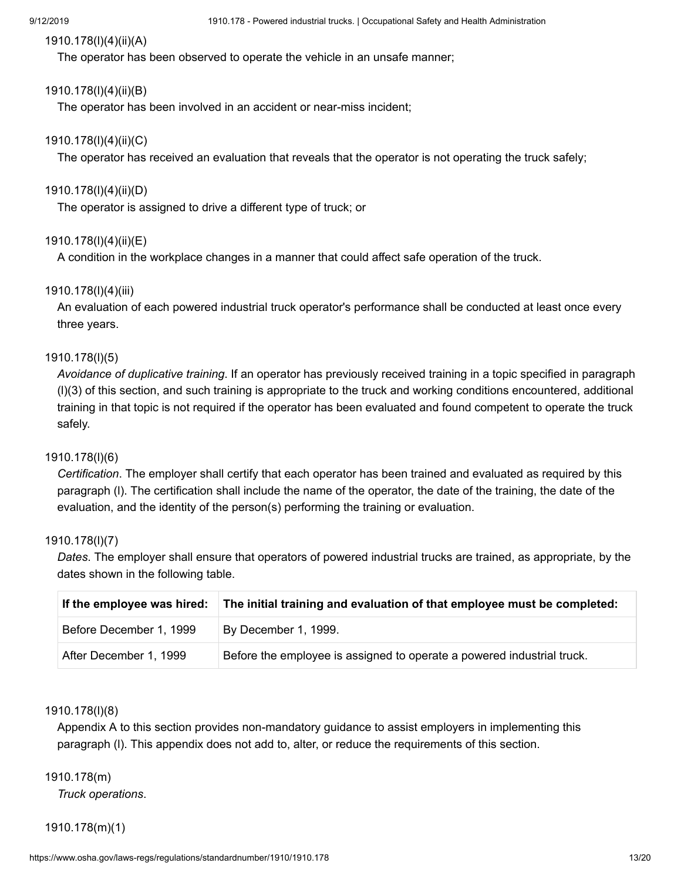## [1910.178\(l\)\(4\)\(ii\)\(A\)](https://www.osha.gov/laws-regs/interlinking/standards/1910.178(l)(4)(ii)(A))

The operator has been observed to operate the vehicle in an unsafe manner;

## [1910.178\(l\)\(4\)\(ii\)\(B\)](https://www.osha.gov/laws-regs/interlinking/standards/1910.178(l)(4)(ii)(B))

The operator has been involved in an accident or near-miss incident;

## [1910.178\(l\)\(4\)\(ii\)\(C\)](https://www.osha.gov/laws-regs/interlinking/standards/1910.178(l)(4)(ii)(C))

The operator has received an evaluation that reveals that the operator is not operating the truck safely;

## 1910.178(l)(4)(ii)(D)

The operator is assigned to drive a different type of truck; or

## 1910.178(l)(4)(ii)(E)

A condition in the workplace changes in a manner that could affect safe operation of the truck.

## [1910.178\(l\)\(4\)\(iii\)](https://www.osha.gov/laws-regs/interlinking/standards/1910.178(l)(4)(iii))

An evaluation of each powered industrial truck operator's performance shall be conducted at least once every three years.

# 1910.178(l)(5)

*Avoidance of duplicative training*. If an operator has previously received training in a topic specified in paragraph (l)(3) of this section, and such training is appropriate to the truck and working conditions encountered, additional training in that topic is not required if the operator has been evaluated and found competent to operate the truck safely.

# [1910.178\(l\)\(6\)](https://www.osha.gov/laws-regs/interlinking/standards/1910.178(l)(6))

*Certification*. The employer shall certify that each operator has been trained and evaluated as required by this paragraph (l). The certification shall include the name of the operator, the date of the training, the date of the evaluation, and the identity of the person(s) performing the training or evaluation.

# 1910.178(l)(7)

*Dates*. The employer shall ensure that operators of powered industrial trucks are trained, as appropriate, by the dates shown in the following table.

| If the employee was hired: | The initial training and evaluation of that employee must be completed: |
|----------------------------|-------------------------------------------------------------------------|
| Before December 1, 1999    | By December 1, 1999.                                                    |
| After December 1, 1999     | Before the employee is assigned to operate a powered industrial truck.  |

#### 1910.178(l)(8)

Appendix A to this section provides non-mandatory guidance to assist employers in implementing this paragraph (l). This appendix does not add to, alter, or reduce the requirements of this section.

1910.178(m) *Truck operations*.

1910.178(m)(1)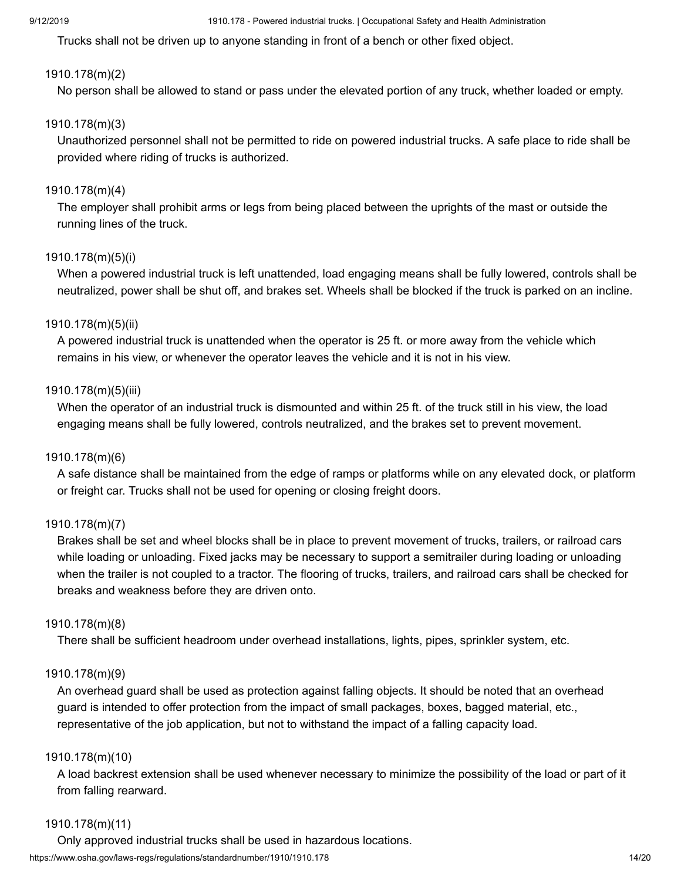Trucks shall not be driven up to anyone standing in front of a bench or other fixed object.

#### [1910.178\(m\)\(2\)](https://www.osha.gov/laws-regs/interlinking/standards/1910.178(m)(2))

No person shall be allowed to stand or pass under the elevated portion of any truck, whether loaded or empty.

#### 1910.178(m)(3)

Unauthorized personnel shall not be permitted to ride on powered industrial trucks. A safe place to ride shall be provided where riding of trucks is authorized.

#### 1910.178(m)(4)

The employer shall prohibit arms or legs from being placed between the uprights of the mast or outside the running lines of the truck.

#### 1910.178(m)(5)(i)

When a powered industrial truck is left unattended, load engaging means shall be fully lowered, controls shall be neutralized, power shall be shut off, and brakes set. Wheels shall be blocked if the truck is parked on an incline.

#### [1910.178\(m\)\(5\)\(ii\)](https://www.osha.gov/laws-regs/interlinking/standards/1910.178(m)(5)(ii))

A powered industrial truck is unattended when the operator is 25 ft. or more away from the vehicle which remains in his view, or whenever the operator leaves the vehicle and it is not in his view.

#### [1910.178\(m\)\(5\)\(iii\)](https://www.osha.gov/laws-regs/interlinking/standards/1910.178(m)(5)(iii))

When the operator of an industrial truck is dismounted and within 25 ft. of the truck still in his view, the load engaging means shall be fully lowered, controls neutralized, and the brakes set to prevent movement.

#### [1910.178\(m\)\(6\)](https://www.osha.gov/laws-regs/interlinking/standards/1910.178(m)(6))

A safe distance shall be maintained from the edge of ramps or platforms while on any elevated dock, or platform or freight car. Trucks shall not be used for opening or closing freight doors.

#### [1910.178\(m\)\(7\)](https://www.osha.gov/laws-regs/interlinking/standards/1910.178(m)(7))

Brakes shall be set and wheel blocks shall be in place to prevent movement of trucks, trailers, or railroad cars while loading or unloading. Fixed jacks may be necessary to support a semitrailer during loading or unloading when the trailer is not coupled to a tractor. The flooring of trucks, trailers, and railroad cars shall be checked for breaks and weakness before they are driven onto.

#### 1910.178(m)(8)

There shall be sufficient headroom under overhead installations, lights, pipes, sprinkler system, etc.

#### 1910.178(m)(9)

An overhead guard shall be used as protection against falling objects. It should be noted that an overhead guard is intended to offer protection from the impact of small packages, boxes, bagged material, etc., representative of the job application, but not to withstand the impact of a falling capacity load.

#### 1910.178(m)(10)

A load backrest extension shall be used whenever necessary to minimize the possibility of the load or part of it from falling rearward.

#### 1910.178(m)(11)

Only approved industrial trucks shall be used in hazardous locations.

#### https://www.osha.gov/laws-regs/regulations/standardnumber/1910/1910.178 14/20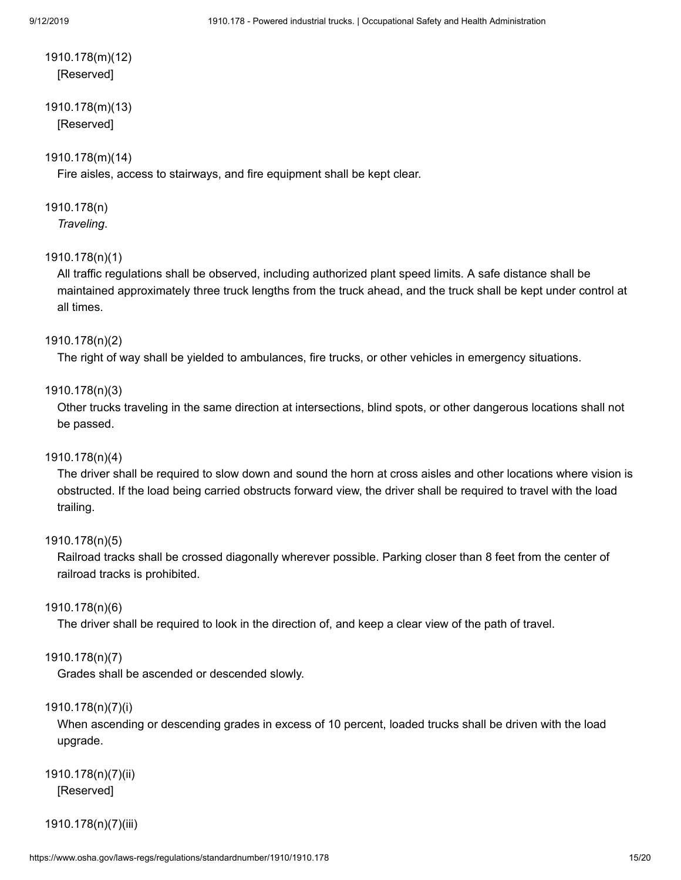# 1910.178(m)(12) [Reserved]

# 1910.178(m)(13) [Reserved]

# 1910.178(m)(14)

Fire aisles, access to stairways, and fire equipment shall be kept clear.

# [1910.178\(n\)](https://www.osha.gov/laws-regs/interlinking/standards/1910.178(n))

*Traveling*.

# 1910.178(n)(1)

All traffic regulations shall be observed, including authorized plant speed limits. A safe distance shall be maintained approximately three truck lengths from the truck ahead, and the truck shall be kept under control at all times.

## 1910.178(n)(2)

The right of way shall be yielded to ambulances, fire trucks, or other vehicles in emergency situations.

# 1910.178(n)(3)

Other trucks traveling in the same direction at intersections, blind spots, or other dangerous locations shall not be passed.

# [1910.178\(n\)\(4\)](https://www.osha.gov/laws-regs/interlinking/standards/1910.178(n)(4))

The driver shall be required to slow down and sound the horn at cross aisles and other locations where vision is obstructed. If the load being carried obstructs forward view, the driver shall be required to travel with the load trailing.

# 1910.178(n)(5)

Railroad tracks shall be crossed diagonally wherever possible. Parking closer than 8 feet from the center of railroad tracks is prohibited.

#### 1910.178(n)(6)

The driver shall be required to look in the direction of, and keep a clear view of the path of travel.

#### 1910.178(n)(7)

Grades shall be ascended or descended slowly.

#### 1910.178(n)(7)(i)

When ascending or descending grades in excess of 10 percent, loaded trucks shall be driven with the load upgrade.

1910.178(n)(7)(ii) [Reserved]

1910.178(n)(7)(iii)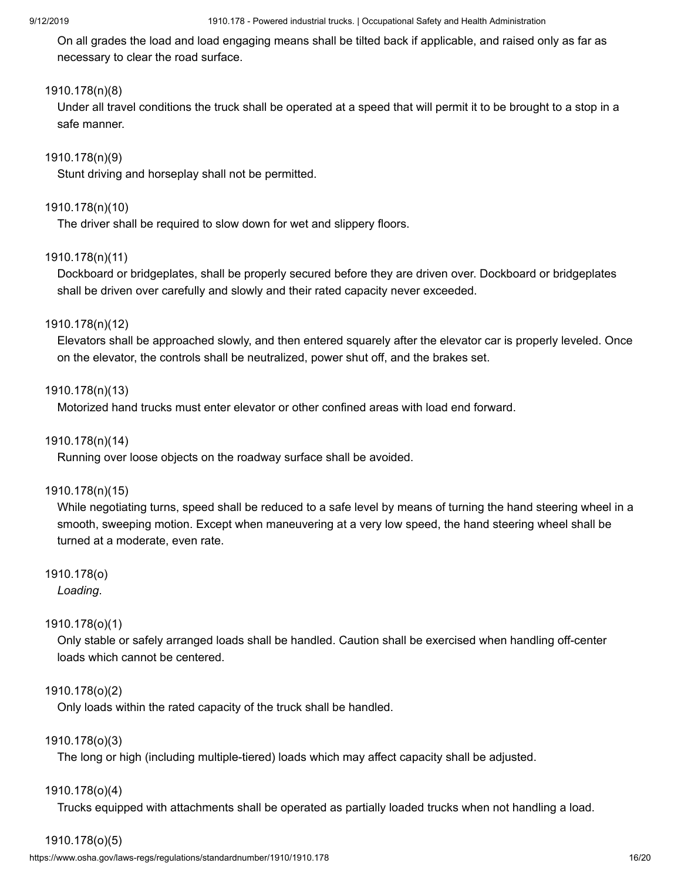On all grades the load and load engaging means shall be tilted back if applicable, and raised only as far as necessary to clear the road surface.

## [1910.178\(n\)\(8\)](https://www.osha.gov/laws-regs/interlinking/standards/1910.178(n)(8))

Under all travel conditions the truck shall be operated at a speed that will permit it to be brought to a stop in a safe manner.

## 1910.178(n)(9)

Stunt driving and horseplay shall not be permitted.

## 1910.178(n)(10)

The driver shall be required to slow down for wet and slippery floors.

## 1910.178(n)(11)

Dockboard or bridgeplates, shall be properly secured before they are driven over. Dockboard or bridgeplates shall be driven over carefully and slowly and their rated capacity never exceeded.

## 1910.178(n)(12)

Elevators shall be approached slowly, and then entered squarely after the elevator car is properly leveled. Once on the elevator, the controls shall be neutralized, power shut off, and the brakes set.

## 1910.178(n)(13)

Motorized hand trucks must enter elevator or other confined areas with load end forward.

## 1910.178(n)(14)

Running over loose objects on the roadway surface shall be avoided.

#### [1910.178\(n\)\(15\)](https://www.osha.gov/laws-regs/interlinking/standards/1910.178(n)(15))

While negotiating turns, speed shall be reduced to a safe level by means of turning the hand steering wheel in a smooth, sweeping motion. Except when maneuvering at a very low speed, the hand steering wheel shall be turned at a moderate, even rate.

# 1910.178(o)

*Loading*.

# [1910.178\(o\)\(1\)](https://www.osha.gov/laws-regs/interlinking/standards/1910.178(o)(1))

Only stable or safely arranged loads shall be handled. Caution shall be exercised when handling off-center loads which cannot be centered.

#### 1910.178(o)(2)

Only loads within the rated capacity of the truck shall be handled.

# 1910.178(o)(3)

The long or high (including multiple-tiered) loads which may affect capacity shall be adjusted.

#### 1910.178(o)(4)

Trucks equipped with attachments shall be operated as partially loaded trucks when not handling a load.

#### 1910.178(o)(5)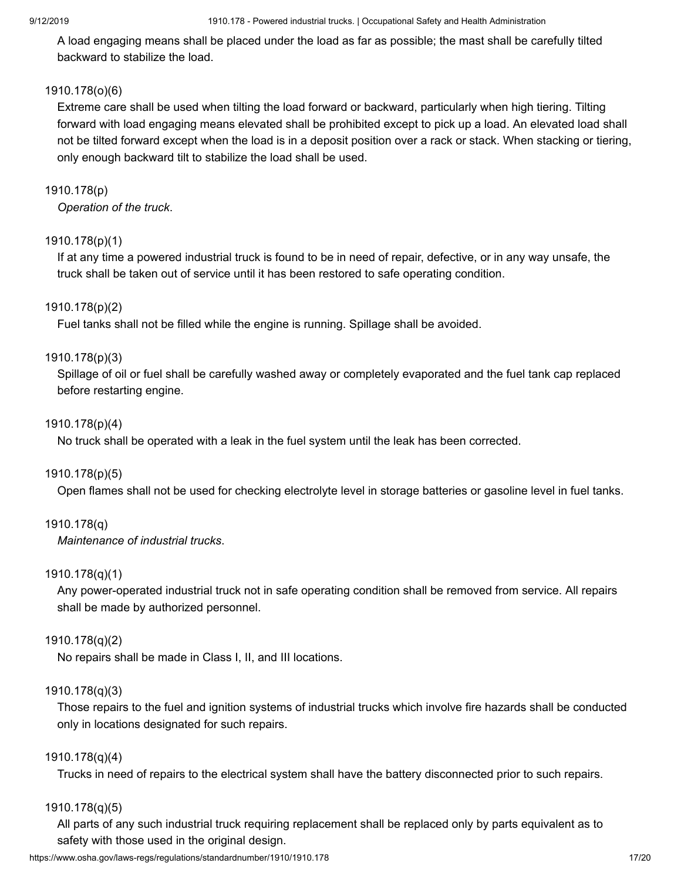A load engaging means shall be placed under the load as far as possible; the mast shall be carefully tilted backward to stabilize the load.

#### 1910.178(o)(6)

Extreme care shall be used when tilting the load forward or backward, particularly when high tiering. Tilting forward with load engaging means elevated shall be prohibited except to pick up a load. An elevated load shall not be tilted forward except when the load is in a deposit position over a rack or stack. When stacking or tiering, only enough backward tilt to stabilize the load shall be used.

## [1910.178\(p\)](https://www.osha.gov/laws-regs/interlinking/standards/1910.178(p))

*Operation of the truck*.

# [1910.178\(p\)\(1\)](https://www.osha.gov/laws-regs/interlinking/standards/1910.178(p)(1))

If at any time a powered industrial truck is found to be in need of repair, defective, or in any way unsafe, the truck shall be taken out of service until it has been restored to safe operating condition.

## 1910.178(p)(2)

Fuel tanks shall not be filled while the engine is running. Spillage shall be avoided.

## 1910.178(p)(3)

Spillage of oil or fuel shall be carefully washed away or completely evaporated and the fuel tank cap replaced before restarting engine.

#### 1910.178(p)(4)

No truck shall be operated with a leak in the fuel system until the leak has been corrected.

#### 1910.178(p)(5)

Open flames shall not be used for checking electrolyte level in storage batteries or gasoline level in fuel tanks.

#### [1910.178\(q\)](https://www.osha.gov/laws-regs/interlinking/standards/1910.178(q))

*Maintenance of industrial trucks*.

#### [1910.178\(q\)\(1\)](https://www.osha.gov/laws-regs/interlinking/standards/1910.178(q)(1))

Any power-operated industrial truck not in safe operating condition shall be removed from service. All repairs shall be made by authorized personnel.

#### 1910.178(q)(2)

No repairs shall be made in Class I, II, and III locations.

#### 1910.178(q)(3)

Those repairs to the fuel and ignition systems of industrial trucks which involve fire hazards shall be conducted only in locations designated for such repairs.

#### 1910.178(q)(4)

Trucks in need of repairs to the electrical system shall have the battery disconnected prior to such repairs.

#### [1910.178\(q\)\(5\)](https://www.osha.gov/laws-regs/interlinking/standards/1910.178(q)(5))

All parts of any such industrial truck requiring replacement shall be replaced only by parts equivalent as to safety with those used in the original design.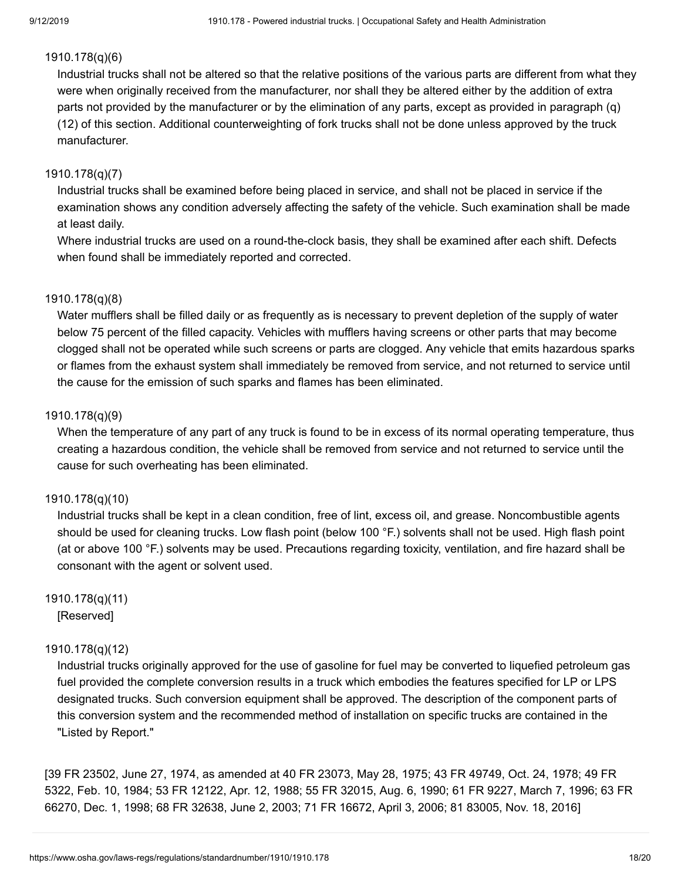#### [1910.178\(q\)\(6\)](https://www.osha.gov/laws-regs/interlinking/standards/1910.178(q)(6))

Industrial trucks shall not be altered so that the relative positions of the various parts are different from what they were when originally received from the manufacturer, nor shall they be altered either by the addition of extra parts not provided by the manufacturer or by the elimination of any parts, except as provided in paragraph (q) (12) of this section. Additional counterweighting of fork trucks shall not be done unless approved by the truck manufacturer.

#### [1910.178\(q\)\(7\)](https://www.osha.gov/laws-regs/interlinking/standards/1910.178(q)(7))

Industrial trucks shall be examined before being placed in service, and shall not be placed in service if the examination shows any condition adversely affecting the safety of the vehicle. Such examination shall be made at least daily.

Where industrial trucks are used on a round-the-clock basis, they shall be examined after each shift. Defects when found shall be immediately reported and corrected.

## 1910.178(q)(8)

Water mufflers shall be filled daily or as frequently as is necessary to prevent depletion of the supply of water below 75 percent of the filled capacity. Vehicles with mufflers having screens or other parts that may become clogged shall not be operated while such screens or parts are clogged. Any vehicle that emits hazardous sparks or flames from the exhaust system shall immediately be removed from service, and not returned to service until the cause for the emission of such sparks and flames has been eliminated.

#### 1910.178(q)(9)

When the temperature of any part of any truck is found to be in excess of its normal operating temperature, thus creating a hazardous condition, the vehicle shall be removed from service and not returned to service until the cause for such overheating has been eliminated.

#### 1910.178(q)(10)

Industrial trucks shall be kept in a clean condition, free of lint, excess oil, and grease. Noncombustible agents should be used for cleaning trucks. Low flash point (below 100 °F.) solvents shall not be used. High flash point (at or above 100 °F.) solvents may be used. Precautions regarding toxicity, ventilation, and fire hazard shall be consonant with the agent or solvent used.

#### 1910.178(q)(11) [Reserved]

#### 1910.178(q)(12)

Industrial trucks originally approved for the use of gasoline for fuel may be converted to liquefied petroleum gas fuel provided the complete conversion results in a truck which embodies the features specified for LP or LPS designated trucks. Such conversion equipment shall be approved. The description of the component parts of this conversion system and the recommended method of installation on specific trucks are contained in the "Listed by Report."

[39 FR 23502, June 27, 1974, as amended at 40 FR 23073, May 28, 1975; 43 FR 49749, Oct. 24, 1978; 49 FR 5322, Feb. 10, 1984; 53 FR 12122, Apr. 12, 1988; 55 FR 32015, Aug. 6, 1990; 61 FR 9227, March 7, 1996; 63 FR 66270, Dec. 1, 1998; 68 FR 32638, June 2, 2003; 71 FR 16672, April 3, 2006; 81 83005, Nov. 18, 2016]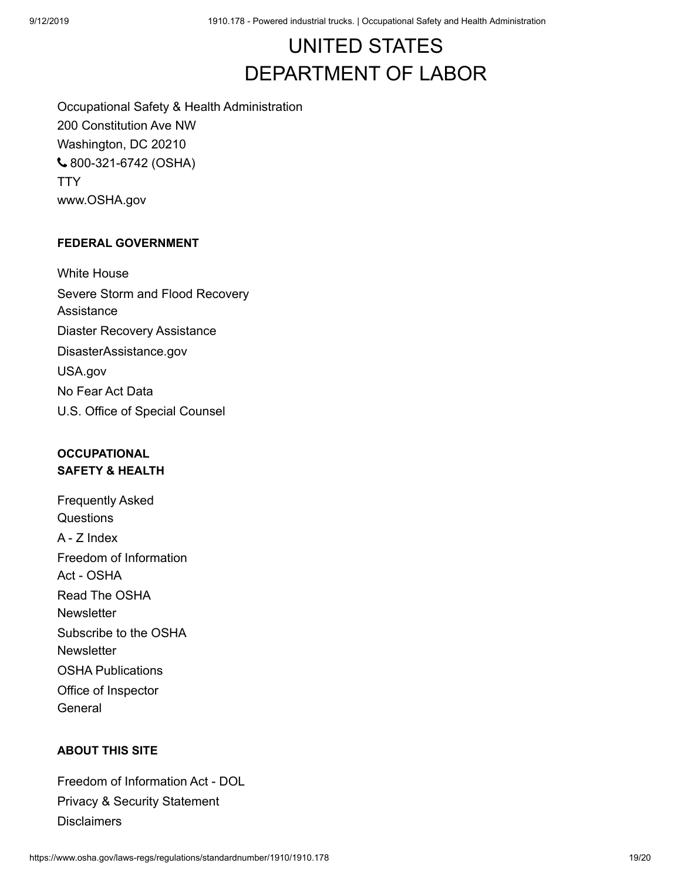# UNITED STATES [DEPARTMENT OF LABOR](https://www.dol.gov/)

Occupational Safety & Health Administration 200 Constitution Ave NW Washington, DC 20210 [800-321-6742](tel:+18003216742) (OSHA) **[TTY](https://www.dol.gov/general/contact-phone-call-center#tty)** [www.OSHA.gov](https://www.osha.gov/)

#### **FEDERAL GOVERNMENT**

[White House](https://www.whitehouse.gov/) [Severe Storm and Flood Recovery](https://www.dol.gov/general/stormrecovery) **Assistance** [Diaster Recovery Assistance](https://www.dol.gov/general/disasterrecovery) [DisasterAssistance.gov](https://www.disasterassistance.gov/) [USA.gov](https://usa.gov/) [No Fear Act Data](https://www.dol.gov/oasam/programs/crc/NoFearResult.htm) [U.S. Office of Special Counsel](https://osc.gov/)

# **OCCUPATIONAL SAFETY & HEALTH**

[Frequently Asked](https://www.osha.gov/faq) Questions [A - Z Index](https://www.osha.gov/a-z) [Freedom of Information](https://www.osha.gov/foia) Act - OSHA [Read The OSHA](https://www.osha.gov/quicktakes/) **Newsletter** [Subscribe to the OSHA](https://www.osha.gov/quicktakes/#subscribe) **Newsletter** [OSHA Publications](https://www.osha.gov/pls/publications/publication.html) [Office of Inspector](https://www.oig.dol.gov/) **General** 

# **ABOUT THIS SITE**

[Freedom of Information Act - DOL](https://www.dol.gov/general/foia) [Privacy & Security Statement](https://www.dol.gov/general/privacynotice) **[Disclaimers](https://www.dol.gov/general/disclaim)**